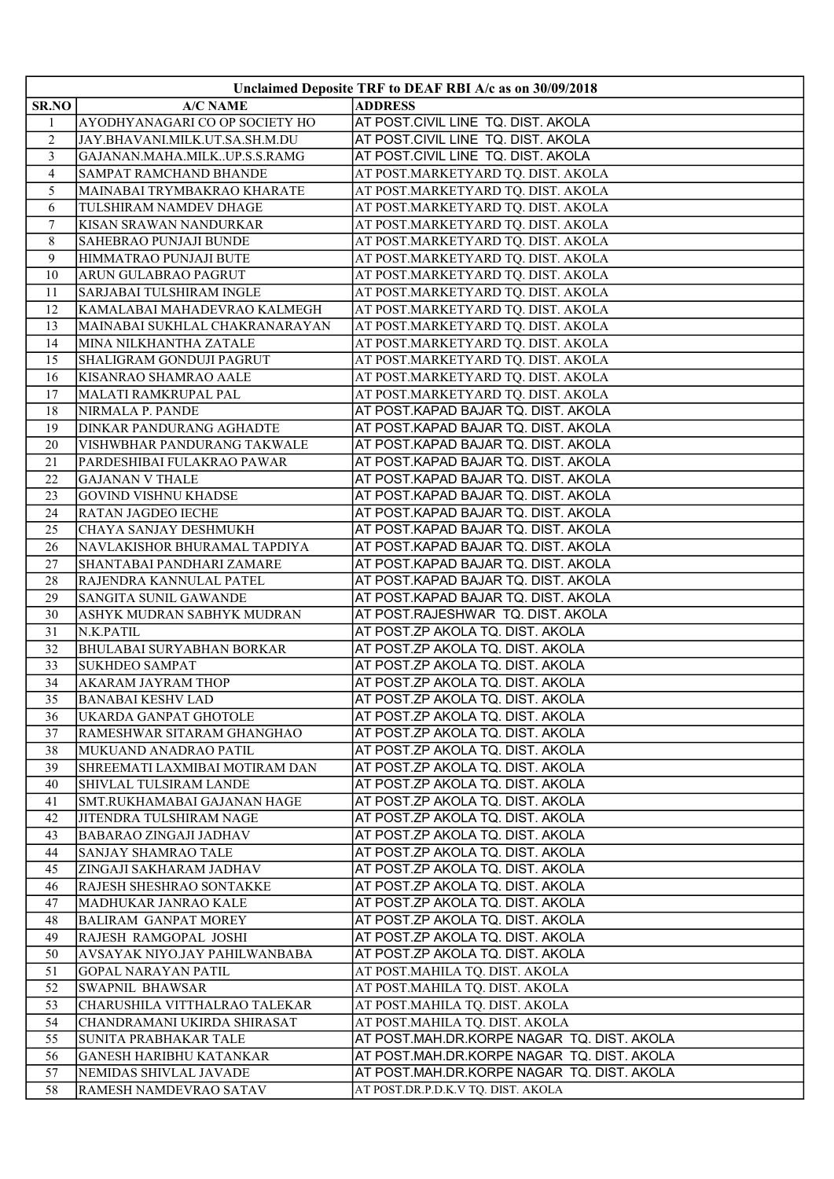| Unclaimed Deposite TRF to DEAF RBI A/c as on 30/09/2018 |                                  |                                            |  |
|---------------------------------------------------------|----------------------------------|--------------------------------------------|--|
| <b>SR.NO</b>                                            | <b>A/C NAME</b>                  | <b>ADDRESS</b>                             |  |
| 1                                                       | AYODHYANAGARI CO OP SOCIETY HO   | AT POST.CIVIL LINE TQ. DIST. AKOLA         |  |
| $\overline{2}$                                          | JAY.BHAVANI.MILK.UT.SA.SH.M.DU   | AT POST.CIVIL LINE TQ. DIST. AKOLA         |  |
| 3                                                       | GAJANAN.MAHA.MILKUP.S.S.RAMG     | AT POST.CIVIL LINE TQ. DIST. AKOLA         |  |
| 4                                                       | <b>SAMPAT RAMCHAND BHANDE</b>    | AT POST.MARKETYARD TQ. DIST. AKOLA         |  |
| 5                                                       | MAINABAI TRYMBAKRAO KHARATE      | AT POST.MARKETYARD TQ. DIST. AKOLA         |  |
| 6                                                       | TULSHIRAM NAMDEV DHAGE           | AT POST.MARKETYARD TQ. DIST. AKOLA         |  |
| $\overline{7}$                                          | KISAN SRAWAN NANDURKAR           | AT POST.MARKETYARD TQ. DIST. AKOLA         |  |
| 8                                                       | <b>SAHEBRAO PUNJAJI BUNDE</b>    | AT POST.MARKETYARD TQ. DIST. AKOLA         |  |
| 9                                                       | HIMMATRAO PUNJAJI BUTE           | AT POST.MARKETYARD TQ. DIST. AKOLA         |  |
| 10                                                      | <b>ARUN GULABRAO PAGRUT</b>      | AT POST.MARKETYARD TQ. DIST. AKOLA         |  |
| 11                                                      | SARJABAI TULSHIRAM INGLE         | AT POST.MARKETYARD TQ. DIST. AKOLA         |  |
| 12                                                      | KAMALABAI MAHADEVRAO KALMEGH     | AT POST.MARKETYARD TQ. DIST. AKOLA         |  |
| 13                                                      | MAINABAI SUKHLAL CHAKRANARAYAN   | AT POST.MARKETYARD TQ. DIST. AKOLA         |  |
| 14                                                      | MINA NILKHANTHA ZATALE           | AT POST.MARKETYARD TQ. DIST. AKOLA         |  |
| 15                                                      | <b>SHALIGRAM GONDUJI PAGRUT</b>  | AT POST.MARKETYARD TQ. DIST. AKOLA         |  |
| 16                                                      | KISANRAO SHAMRAO AALE            | AT POST.MARKETYARD TQ. DIST. AKOLA         |  |
| 17                                                      | MALATI RAMKRUPAL PAL             | AT POST.MARKETYARD TQ. DIST. AKOLA         |  |
| 18                                                      | NIRMALA P. PANDE                 | AT POST.KAPAD BAJAR TQ. DIST. AKOLA        |  |
| 19                                                      | DINKAR PANDURANG AGHADTE         | AT POST.KAPAD BAJAR TQ. DIST. AKOLA        |  |
| 20                                                      | VISHWBHAR PANDURANG TAKWALE      | AT POST.KAPAD BAJAR TQ. DIST. AKOLA        |  |
| 21                                                      | PARDESHIBAI FULAKRAO PAWAR       | AT POST.KAPAD BAJAR TQ. DIST. AKOLA        |  |
| 22                                                      | <b>GAJANAN V THALE</b>           | AT POST.KAPAD BAJAR TQ. DIST. AKOLA        |  |
| 23                                                      | <b>GOVIND VISHNU KHADSE</b>      | AT POST.KAPAD BAJAR TQ. DIST. AKOLA        |  |
| 24                                                      | <b>RATAN JAGDEO IECHE</b>        | AT POST.KAPAD BAJAR TQ. DIST. AKOLA        |  |
| 25                                                      | CHAYA SANJAY DESHMUKH            | AT POST.KAPAD BAJAR TQ. DIST. AKOLA        |  |
| 26                                                      | NAVLAKISHOR BHURAMAL TAPDIYA     | AT POST.KAPAD BAJAR TQ. DIST. AKOLA        |  |
| 27                                                      | SHANTABAI PANDHARI ZAMARE        | AT POST.KAPAD BAJAR TQ. DIST. AKOLA        |  |
| 28                                                      | RAJENDRA KANNULAL PATEL          | AT POST.KAPAD BAJAR TQ. DIST. AKOLA        |  |
| 29                                                      | <b>SANGITA SUNIL GAWANDE</b>     | AT POST.KAPAD BAJAR TQ. DIST. AKOLA        |  |
| 30                                                      | ASHYK MUDRAN SABHYK MUDRAN       | AT POST.RAJESHWAR TQ. DIST. AKOLA          |  |
| 31                                                      | N.K.PATIL                        | AT POST.ZP AKOLA TQ. DIST. AKOLA           |  |
| 32                                                      | <b>BHULABAI SURYABHAN BORKAR</b> | AT POST.ZP AKOLA TQ. DIST. AKOLA           |  |
| 33                                                      | <b>SUKHDEO SAMPAT</b>            | AT POST.ZP AKOLA TQ. DIST. AKOLA           |  |
| 34                                                      | AKARAM JAYRAM THOP               | AT POST.ZP AKOLA TQ. DIST. AKOLA           |  |
| $\overline{35}$                                         | <b>BANABAI KESHV LAD</b>         | AT POST.ZP AKOLA TQ. DIST. AKOLA           |  |
| 36                                                      | UKARDA GANPAT GHOTOLE            | AT POST.ZP AKOLA TQ. DIST. AKOLA           |  |
| 37                                                      | RAMESHWAR SITARAM GHANGHAO       | AT POST.ZP AKOLA TQ. DIST. AKOLA           |  |
| 38                                                      | MUKUAND ANADRAO PATIL            | AT POST.ZP AKOLA TQ. DIST. AKOLA           |  |
| 39                                                      | SHREEMATI LAXMIBAI MOTIRAM DAN   | AT POST.ZP AKOLA TQ. DIST. AKOLA           |  |
| 40                                                      | SHIVLAL TULSIRAM LANDE           | AT POST.ZP AKOLA TQ. DIST. AKOLA           |  |
| 41                                                      | SMT.RUKHAMABAI GAJANAN HAGE      | AT POST.ZP AKOLA TQ. DIST. AKOLA           |  |
| 42                                                      | JITENDRA TULSHIRAM NAGE          | AT POST.ZP AKOLA TQ. DIST. AKOLA           |  |
| 43                                                      | <b>BABARAO ZINGAJI JADHAV</b>    | AT POST.ZP AKOLA TQ. DIST. AKOLA           |  |
| 44                                                      | <b>SANJAY SHAMRAO TALE</b>       | AT POST.ZP AKOLA TQ. DIST. AKOLA           |  |
| 45                                                      | ZINGAJI SAKHARAM JADHAV          | AT POST.ZP AKOLA TQ. DIST. AKOLA           |  |
| 46                                                      | RAJESH SHESHRAO SONTAKKE         | AT POST.ZP AKOLA TQ. DIST. AKOLA           |  |
| 47                                                      | MADHUKAR JANRAO KALE             | AT POST.ZP AKOLA TQ. DIST. AKOLA           |  |
| 48                                                      | <b>BALIRAM GANPAT MOREY</b>      | AT POST.ZP AKOLA TQ. DIST. AKOLA           |  |
| 49                                                      | RAJESH RAMGOPAL JOSHI            | AT POST.ZP AKOLA TQ. DIST. AKOLA           |  |
| 50                                                      | AVSAYAK NIYO.JAY PAHILWANBABA    | AT POST.ZP AKOLA TQ. DIST. AKOLA           |  |
| 51                                                      | <b>GOPAL NARAYAN PATIL</b>       | AT POST.MAHILA TQ. DIST. AKOLA             |  |
| 52                                                      | <b>SWAPNIL BHAWSAR</b>           | AT POST.MAHILA TQ. DIST. AKOLA             |  |
| 53                                                      | CHARUSHILA VITTHALRAO TALEKAR    | AT POST.MAHILA TQ. DIST. AKOLA             |  |
| 54                                                      | CHANDRAMANI UKIRDA SHIRASAT      | AT POST.MAHILA TQ. DIST. AKOLA             |  |
| 55                                                      | <b>SUNITA PRABHAKAR TALE</b>     | AT POST.MAH.DR.KORPE NAGAR TQ. DIST. AKOLA |  |
| 56                                                      | GANESH HARIBHU KATANKAR          | AT POST.MAH.DR.KORPE NAGAR TQ. DIST. AKOLA |  |
| 57                                                      | NEMIDAS SHIVLAL JAVADE           | AT POST.MAH.DR.KORPE NAGAR TQ. DIST. AKOLA |  |
| 58                                                      | RAMESH NAMDEVRAO SATAV           | AT POST.DR.P.D.K.V TQ. DIST. AKOLA         |  |
|                                                         |                                  |                                            |  |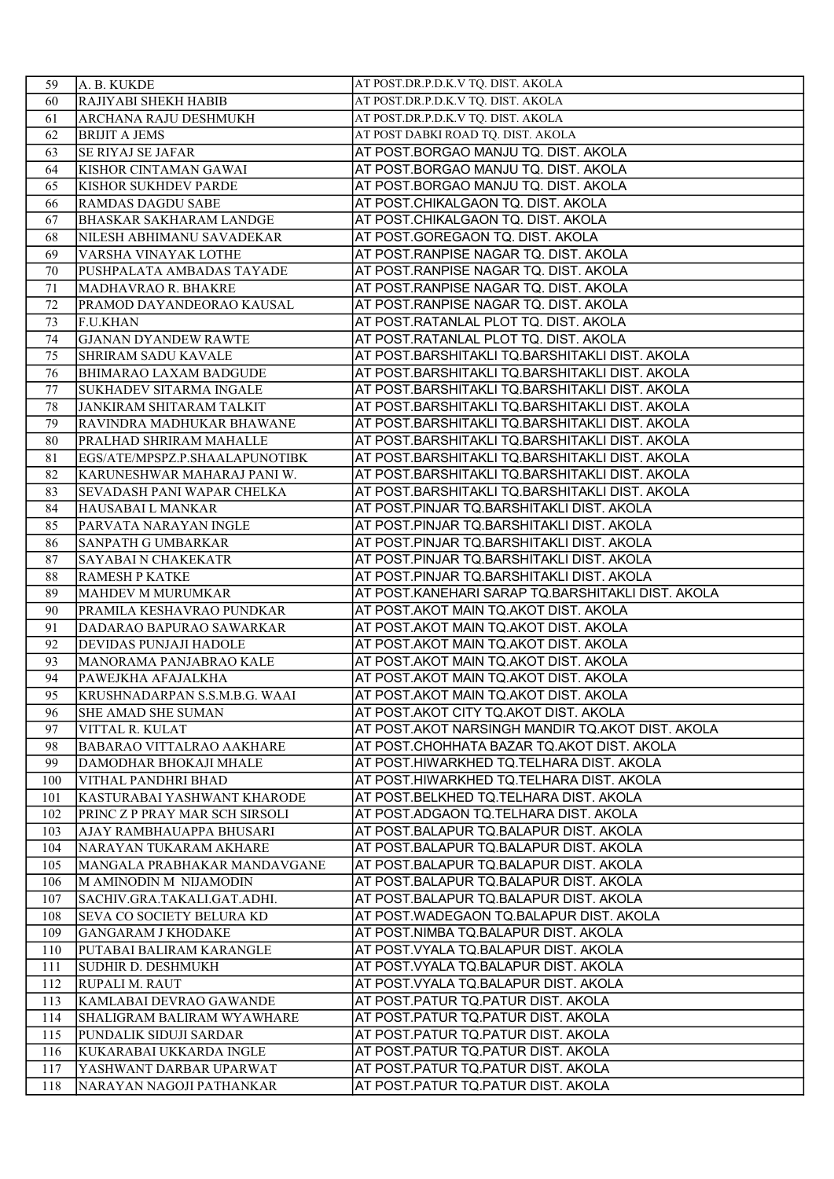| 59         | A. B. KUKDE                                            | AT POST.DR.P.D.K.V TQ. DIST. AKOLA                                           |
|------------|--------------------------------------------------------|------------------------------------------------------------------------------|
| 60         | RAJIYABI SHEKH HABIB                                   | AT POST.DR.P.D.K.V TQ. DIST. AKOLA                                           |
| 61         | ARCHANA RAJU DESHMUKH                                  | AT POST.DR.P.D.K.V TQ. DIST. AKOLA                                           |
| 62         | <b>BRIJIT A JEMS</b>                                   | AT POST DABKI ROAD TQ. DIST. AKOLA                                           |
| 63         | <b>SE RIYAJ SE JAFAR</b>                               | AT POST.BORGAO MANJU TQ. DIST. AKOLA                                         |
| 64         | KISHOR CINTAMAN GAWAI                                  | AT POST.BORGAO MANJU TQ. DIST. AKOLA                                         |
| 65         | KISHOR SUKHDEV PARDE                                   | AT POST.BORGAO MANJU TQ. DIST. AKOLA                                         |
| 66         | <b>RAMDAS DAGDU SABE</b>                               | AT POST.CHIKALGAON TQ. DIST. AKOLA                                           |
| 67         | <b>BHASKAR SAKHARAM LANDGE</b>                         | AT POST.CHIKALGAON TQ. DIST. AKOLA                                           |
| 68         | NILESH ABHIMANU SAVADEKAR                              | AT POST.GOREGAON TQ. DIST. AKOLA                                             |
| 69         | VARSHA VINAYAK LOTHE                                   | AT POST.RANPISE NAGAR TQ. DIST. AKOLA                                        |
| 70         | PUSHPALATA AMBADAS TAYADE                              | AT POST.RANPISE NAGAR TQ. DIST. AKOLA                                        |
| 71         | MADHAVRAO R. BHAKRE                                    | AT POST.RANPISE NAGAR TQ. DIST. AKOLA                                        |
| 72         | PRAMOD DAYANDEORAO KAUSAL                              | AT POST.RANPISE NAGAR TQ. DIST. AKOLA                                        |
| 73         | F.U.KHAN                                               | AT POST.RATANLAL PLOT TQ. DIST. AKOLA                                        |
| 74         | <b>GJANAN DYANDEW RAWTE</b>                            | AT POST.RATANLAL PLOT TQ. DIST. AKOLA                                        |
| 75         | <b>SHRIRAM SADU KAVALE</b>                             | AT POST.BARSHITAKLI TQ.BARSHITAKLI DIST. AKOLA                               |
| 76         | <b>BHIMARAO LAXAM BADGUDE</b>                          | AT POST.BARSHITAKLI TQ.BARSHITAKLI DIST. AKOLA                               |
| 77         | <b>SUKHADEV SITARMA INGALE</b>                         | AT POST.BARSHITAKLI TQ.BARSHITAKLI DIST. AKOLA                               |
| 78         | JANKIRAM SHITARAM TALKIT                               | AT POST.BARSHITAKLI TQ.BARSHITAKLI DIST. AKOLA                               |
| 79         | RAVINDRA MADHUKAR BHAWANE                              | AT POST.BARSHITAKLI TQ.BARSHITAKLI DIST. AKOLA                               |
| 80         | PRALHAD SHRIRAM MAHALLE                                | AT POST.BARSHITAKLI TQ.BARSHITAKLI DIST. AKOLA                               |
| 81         | EGS/ATE/MPSPZ.P.SHAALAPUNOTIBK                         | AT POST.BARSHITAKLI TQ.BARSHITAKLI DIST. AKOLA                               |
| 82         | KARUNESHWAR MAHARAJ PANI W.                            | AT POST.BARSHITAKLI TQ.BARSHITAKLI DIST. AKOLA                               |
| 83         | <b>SEVADASH PANI WAPAR CHELKA</b>                      | AT POST.BARSHITAKLI TQ.BARSHITAKLI DIST. AKOLA                               |
| 84         | HAUSABAI L MANKAR                                      | AT POST.PINJAR TQ.BARSHITAKLI DIST. AKOLA                                    |
| 85         | PARVATA NARAYAN INGLE                                  | AT POST.PINJAR TQ.BARSHITAKLI DIST. AKOLA                                    |
| 86         | SANPATH G UMBARKAR                                     | AT POST.PINJAR TQ.BARSHITAKLI DIST. AKOLA                                    |
| 87         | <b>SAYABAI N CHAKEKATR</b>                             | AT POST.PINJAR TQ.BARSHITAKLI DIST. AKOLA                                    |
| 88         | RAMESH P KATKE                                         | AT POST.PINJAR TQ.BARSHITAKLI DIST. AKOLA                                    |
|            |                                                        |                                                                              |
| 89         | MAHDEV M MURUMKAR                                      | AT POST.KANEHARI SARAP TQ.BARSHITAKLI DIST. AKOLA                            |
| 90         | PRAMILA KESHAVRAO PUNDKAR                              | AT POST.AKOT MAIN TQ.AKOT DIST. AKOLA                                        |
| 91         | DADARAO BAPURAO SAWARKAR                               | AT POST.AKOT MAIN TQ.AKOT DIST. AKOLA                                        |
| 92         | <b>DEVIDAS PUNJAJI HADOLE</b>                          | AT POST.AKOT MAIN TQ.AKOT DIST. AKOLA                                        |
| 93         | MANORAMA PANJABRAO KALE                                | AT POST.AKOT MAIN TQ.AKOT DIST. AKOLA                                        |
| 94         | PAWEJKHA AFAJALKHA                                     | AT POST.AKOT MAIN TQ.AKOT DIST. AKOLA                                        |
| 95         | KRUSHNADARPAN S.S.M.B.G. WAAI                          | AT POST.AKOT MAIN TQ.AKOT DIST. AKOLA                                        |
| 96         | <b>SHE AMAD SHE SUMAN</b>                              | AT POST.AKOT CITY TQ.AKOT DIST. AKOLA                                        |
| 97         | VITTAL R. KULAT                                        | AT POST.AKOT NARSINGH MANDIR TQ.AKOT DIST. AKOLA                             |
| 98         | BABARAO VITTALRAO AAKHARE                              | AT POST.CHOHHATA BAZAR TQ.AKOT DIST. AKOLA                                   |
| 99         | DAMODHAR BHOKAJI MHALE                                 | AT POST.HIWARKHED TQ.TELHARA DIST. AKOLA                                     |
| 100        | VITHAL PANDHRI BHAD                                    | AT POST.HIWARKHED TQ.TELHARA DIST. AKOLA                                     |
| 101        | KASTURABAI YASHWANT KHARODE                            | AT POST.BELKHED TQ.TELHARA DIST. AKOLA                                       |
| 102        | PRINC Z P PRAY MAR SCH SIRSOLI                         | AT POST.ADGAON TQ.TELHARA DIST. AKOLA                                        |
| 103        | AJAY RAMBHAUAPPA BHUSARI                               | AT POST.BALAPUR TQ.BALAPUR DIST. AKOLA                                       |
| 104        | NARAYAN TUKARAM AKHARE                                 | AT POST.BALAPUR TQ.BALAPUR DIST. AKOLA                                       |
| 105        | MANGALA PRABHAKAR MANDAVGANE                           | AT POST.BALAPUR TQ.BALAPUR DIST. AKOLA                                       |
| 106        | M AMINODIN M NIJAMODIN                                 | AT POST.BALAPUR TQ.BALAPUR DIST. AKOLA                                       |
| 107        | SACHIV.GRA.TAKALI.GAT.ADHI.                            | AT POST.BALAPUR TQ.BALAPUR DIST. AKOLA                                       |
| 108<br>109 | SEVA CO SOCIETY BELURA KD<br><b>GANGARAM J KHODAKE</b> | AT POST.WADEGAON TQ.BALAPUR DIST. AKOLA                                      |
| 110        | PUTABAI BALIRAM KARANGLE                               | AT POST.NIMBA TQ.BALAPUR DIST. AKOLA<br>AT POST.VYALA TQ.BALAPUR DIST. AKOLA |
| 111        | SUDHIR D. DESHMUKH                                     | AT POST VYALA TQ BALAPUR DIST. AKOLA                                         |
| 112        | RUPALI M. RAUT                                         | AT POST. VYALA TQ. BALAPUR DIST. AKOLA                                       |
| 113        | KAMLABAI DEVRAO GAWANDE                                | AT POST.PATUR TQ.PATUR DIST. AKOLA                                           |
| 114        | SHALIGRAM BALIRAM WYAWHARE                             | AT POST PATUR TQ PATUR DIST. AKOLA                                           |
| 115        | PUNDALIK SIDUJI SARDAR                                 | AT POST.PATUR TQ.PATUR DIST. AKOLA                                           |
| 116        | KUKARABAI UKKARDA INGLE                                | AT POST.PATUR TQ.PATUR DIST. AKOLA                                           |
| 117        | YASHWANT DARBAR UPARWAT                                | AT POST PATUR TQ PATUR DIST. AKOLA                                           |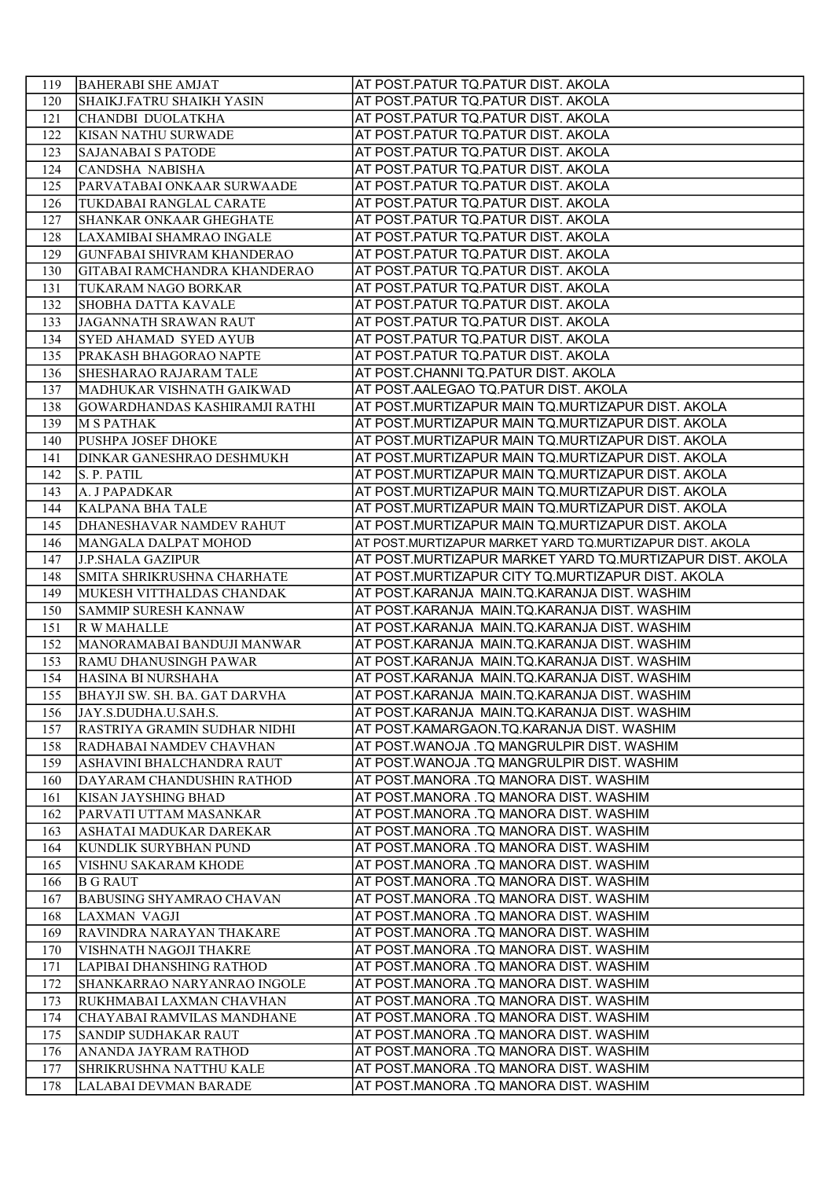| 119        | <b>BAHERABI SHE AMJAT</b>                               | AT POST.PATUR TQ.PATUR DIST. AKOLA                                               |
|------------|---------------------------------------------------------|----------------------------------------------------------------------------------|
| 120        | SHAIKJ.FATRU SHAIKH YASIN                               | AT POST PATUR TQ PATUR DIST. AKOLA                                               |
| 121        | CHANDBI DUOLATKHA                                       | AT POST PATUR TQ PATUR DIST. AKOLA                                               |
| 122        | <b>KISAN NATHU SURWADE</b>                              | AT POST.PATUR TQ.PATUR DIST. AKOLA                                               |
| 123        | <b>SAJANABAI S PATODE</b>                               | AT POST PATUR TQ PATUR DIST. AKOLA                                               |
| 124        | CANDSHA NABISHA                                         | AT POST PATUR TQ PATUR DIST. AKOLA                                               |
| 125        | PARVATABAI ONKAAR SURWAADE                              | AT POST.PATUR TQ.PATUR DIST. AKOLA                                               |
| 126        | TUKDABAI RANGLAL CARATE                                 | AT POST PATUR TQ PATUR DIST. AKOLA                                               |
| 127        | SHANKAR ONKAAR GHEGHATE                                 | AT POST PATUR TQ PATUR DIST. AKOLA                                               |
| 128        | LAXAMIBAI SHAMRAO INGALE                                | AT POST PATUR TQ PATUR DIST. AKOLA                                               |
| 129        | <b>GUNFABAI SHIVRAM KHANDERAO</b>                       | AT POST.PATUR TQ.PATUR DIST. AKOLA                                               |
| 130        | GITABAI RAMCHANDRA KHANDERAO                            | AT POST PATUR TQ PATUR DIST. AKOLA                                               |
| 131        | TUKARAM NAGO BORKAR                                     | AT POST PATUR TQ PATUR DIST. AKOLA                                               |
| 132        | <b>SHOBHA DATTA KAVALE</b>                              | AT POST.PATUR TQ.PATUR DIST. AKOLA                                               |
| 133        | JAGANNATH SRAWAN RAUT                                   | AT POST.PATUR TQ.PATUR DIST. AKOLA                                               |
| 134        | SYED AHAMAD SYED AYUB                                   | AT POST.PATUR TQ.PATUR DIST. AKOLA                                               |
| 135        | PRAKASH BHAGORAO NAPTE                                  | AT POST.PATUR TQ.PATUR DIST. AKOLA                                               |
| 136        | <b>SHESHARAO RAJARAM TALE</b>                           | AT POST.CHANNI TQ.PATUR DIST. AKOLA                                              |
| 137        | MADHUKAR VISHNATH GAIKWAD                               | AT POST.AALEGAO TQ.PATUR DIST. AKOLA                                             |
| 138        | GOWARDHANDAS KASHIRAMJI RATHI                           | AT POST.MURTIZAPUR MAIN TQ.MURTIZAPUR DIST. AKOLA                                |
| 139        | M S PATHAK                                              | AT POST.MURTIZAPUR MAIN TQ.MURTIZAPUR DIST. AKOLA                                |
| 140        | PUSHPA JOSEF DHOKE                                      | AT POST.MURTIZAPUR MAIN TQ.MURTIZAPUR DIST. AKOLA                                |
| 141        | <b>DINKAR GANESHRAO DESHMUKH</b>                        | AT POST.MURTIZAPUR MAIN TQ.MURTIZAPUR DIST. AKOLA                                |
| 142        | S. P. PATIL                                             | AT POST.MURTIZAPUR MAIN TQ.MURTIZAPUR DIST. AKOLA                                |
| 143        | A. J PAPADKAR                                           | AT POST.MURTIZAPUR MAIN TQ.MURTIZAPUR DIST. AKOLA                                |
| 144        | KALPANA BHA TALE                                        | AT POST.MURTIZAPUR MAIN TQ.MURTIZAPUR DIST. AKOLA                                |
| 145        | DHANESHAVAR NAMDEV RAHUT                                | AT POST.MURTIZAPUR MAIN TQ.MURTIZAPUR DIST. AKOLA                                |
| 146        | MANGALA DALPAT MOHOD                                    | AT POST.MURTIZAPUR MARKET YARD TQ.MURTIZAPUR DIST. AKOLA                         |
| 147        | <b>J.P.SHALA GAZIPUR</b>                                | AT POST.MURTIZAPUR MARKET YARD TQ.MURTIZAPUR DIST. AKOLA                         |
| 148        | SMITA SHRIKRUSHNA CHARHATE                              | AT POST.MURTIZAPUR CITY TQ.MURTIZAPUR DIST. AKOLA                                |
| 149        | MUKESH VITTHALDAS CHANDAK                               | AT POST.KARANJA MAIN.TQ.KARANJA DIST. WASHIM                                     |
| 150        | <b>SAMMIP SURESH KANNAW</b>                             | AT POST.KARANJA MAIN.TQ.KARANJA DIST. WASHIM                                     |
| 151        | R W MAHALLE                                             | AT POST.KARANJA MAIN.TQ.KARANJA DIST. WASHIM                                     |
| 152        | MANORAMABAI BANDUJI MANWAR                              | AT POST.KARANJA MAIN.TQ.KARANJA DIST. WASHIM                                     |
| 153        | RAMU DHANUSINGH PAWAR                                   | AT POST.KARANJA MAIN.TQ.KARANJA DIST. WASHIM                                     |
| 154        | HASINA BI NURSHAHA                                      | AT POST.KARANJA MAIN.TQ.KARANJA DIST. WASHIM                                     |
|            |                                                         |                                                                                  |
| 155        | BHAYJI SW. SH. BA. GAT DARVHA                           | AT POST.KARANJA MAIN.TQ.KARANJA DIST. WASHIM                                     |
| 156        | JAY.S.DUDHA.U.SAH.S.                                    | AT POST.KARANJA MAIN.TQ.KARANJA DIST. WASHIM                                     |
| 157        | RASTRIYA GRAMIN SUDHAR NIDHI                            | AT POST.KAMARGAON.TQ.KARANJA DIST. WASHIM                                        |
| 158        | RADHABAI NAMDEV CHAVHAN                                 | AT POST.WANOJA .TQ MANGRULPIR DIST. WASHIM                                       |
| 159        | ASHAVINI BHALCHANDRA RAUT                               | AT POST.WANOJA .TQ MANGRULPIR DIST. WASHIM                                       |
| 160        | DAYARAM CHANDUSHIN RATHOD                               | AT POST.MANORA .TQ MANORA DIST. WASHIM                                           |
| 161        | KISAN JAYSHING BHAD                                     | AT POST.MANORA .TQ MANORA DIST. WASHIM                                           |
| 162        | PARVATI UTTAM MASANKAR                                  | AT POST.MANORA .TQ MANORA DIST. WASHIM                                           |
| 163        | ASHATAI MADUKAR DAREKAR                                 | AT POST.MANORA .TQ MANORA DIST. WASHIM                                           |
| 164        | KUNDLIK SURYBHAN PUND                                   | AT POST.MANORA .TQ MANORA DIST. WASHIM                                           |
| 165        | VISHNU SAKARAM KHODE                                    | AT POST.MANORA .TQ MANORA DIST. WASHIM                                           |
| 166        | <b>B G RAUT</b>                                         | AT POST.MANORA .TQ MANORA DIST. WASHIM                                           |
| 167        | <b>BABUSING SHYAMRAO CHAVAN</b>                         | AT POST.MANORA .TQ MANORA DIST. WASHIM                                           |
| 168        | LAXMAN VAGJI                                            | AT POST.MANORA .TQ MANORA DIST. WASHIM                                           |
| 169        | RAVINDRA NARAYAN THAKARE                                | AT POST.MANORA .TQ MANORA DIST. WASHIM                                           |
| 170        | VISHNATH NAGOJI THAKRE                                  | AT POST.MANORA .TQ MANORA DIST. WASHIM                                           |
| 171<br>172 | LAPIBAI DHANSHING RATHOD                                | AT POST.MANORA .TQ MANORA DIST. WASHIM                                           |
| 173        | SHANKARRAO NARYANRAO INGOLE<br>RUKHMABAI LAXMAN CHAVHAN | AT POST.MANORA .TQ MANORA DIST. WASHIM<br>AT POST.MANORA .TQ MANORA DIST. WASHIM |
| 174        | CHAYABAI RAMVILAS MANDHANE                              | AT POST.MANORA .TQ MANORA DIST. WASHIM                                           |
| 175        | SANDIP SUDHAKAR RAUT                                    | AT POST.MANORA .TQ MANORA DIST. WASHIM                                           |
| 176        | ANANDA JAYRAM RATHOD                                    | AT POST.MANORA .TQ MANORA DIST. WASHIM                                           |
| 177        | SHRIKRUSHNA NATTHU KALE                                 | AT POST.MANORA .TQ MANORA DIST. WASHIM                                           |